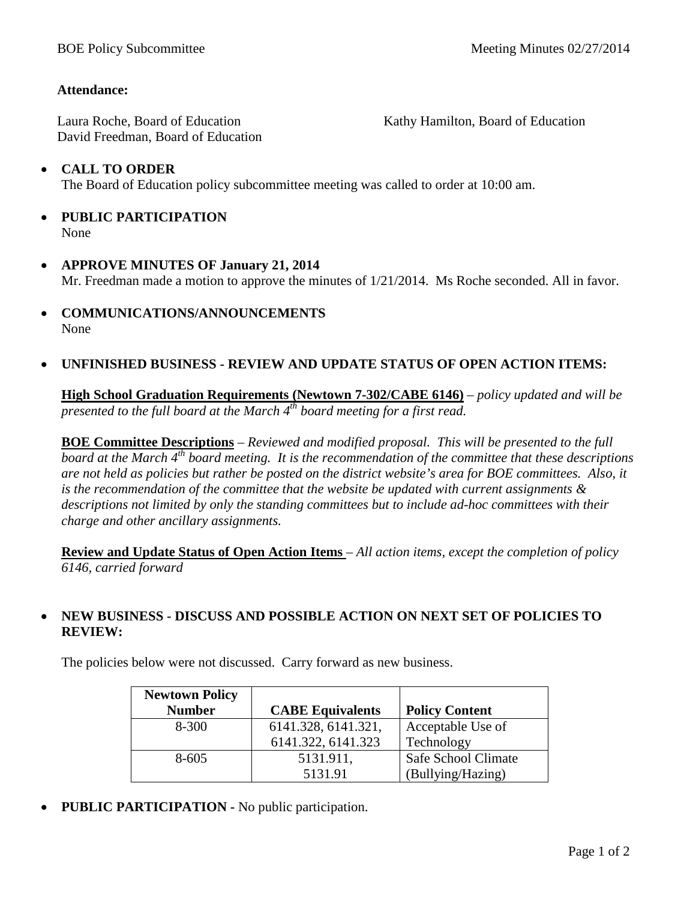## **Attendance:**

Laura Roche, Board of Education David Freedman, Board of Education Kathy Hamilton, Board of Education

## • **CALL TO ORDER** The Board of Education policy subcommittee meeting was called to order at 10:00 am.

- **PUBLIC PARTICIPATION** None
- **APPROVE MINUTES OF January 21, 2014** Mr. Freedman made a motion to approve the minutes of 1/21/2014. Ms Roche seconded. All in favor.
- **COMMUNICATIONS/ANNOUNCEMENTS** None

## • **UNFINISHED BUSINESS - REVIEW AND UPDATE STATUS OF OPEN ACTION ITEMS:**

**High School Graduation Requirements (Newtown 7-302/CABE 6146)** *– policy updated and will be presented to the full board at the March 4th board meeting for a first read.*

**BOE Committee Descriptions** *– Reviewed and modified proposal. This will be presented to the full board at the March 4th board meeting. It is the recommendation of the committee that these descriptions are not held as policies but rather be posted on the district website's area for BOE committees. Also, it is the recommendation of the committee that the website be updated with current assignments & descriptions not limited by only the standing committees but to include ad-hoc committees with their charge and other ancillary assignments.*

**Review and Update Status of Open Action Items** *– All action items, except the completion of policy 6146, carried forward*

## • **NEW BUSINESS - DISCUSS AND POSSIBLE ACTION ON NEXT SET OF POLICIES TO REVIEW:**

The policies below were not discussed. Carry forward as new business.

| <b>Newtown Policy</b> |                         |                       |
|-----------------------|-------------------------|-----------------------|
| <b>Number</b>         | <b>CABE Equivalents</b> | <b>Policy Content</b> |
| $8 - 300$             | 6141.328, 6141.321,     | Acceptable Use of     |
|                       | 6141.322, 6141.323      | Technology            |
| $8 - 605$             | 5131.911,               | Safe School Climate   |
|                       | 5131.91                 | (Bullying/Hazing)     |

• **PUBLIC PARTICIPATION -** No public participation.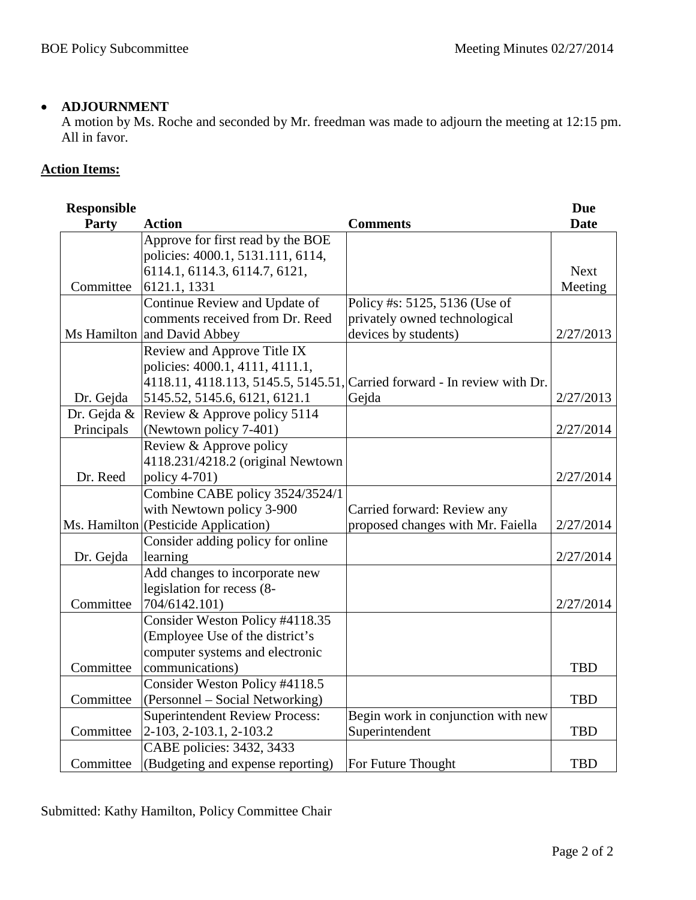### • **ADJOURNMENT**

A motion by Ms. Roche and seconded by Mr. freedman was made to adjourn the meeting at 12:15 pm. All in favor.

## **Action Items:**

| <b>Responsible</b> |                                      |                                                                          | <b>Due</b>  |
|--------------------|--------------------------------------|--------------------------------------------------------------------------|-------------|
| Party              | <b>Action</b>                        | <b>Comments</b>                                                          | <b>Date</b> |
|                    | Approve for first read by the BOE    |                                                                          |             |
|                    | policies: 4000.1, 5131.111, 6114,    |                                                                          |             |
|                    | 6114.1, 6114.3, 6114.7, 6121,        |                                                                          | <b>Next</b> |
| Committee          | 6121.1, 1331                         |                                                                          | Meeting     |
|                    | Continue Review and Update of        | Policy #s: 5125, 5136 (Use of                                            |             |
|                    | comments received from Dr. Reed      | privately owned technological                                            |             |
|                    | Ms Hamilton and David Abbey          | devices by students)                                                     | 2/27/2013   |
|                    | Review and Approve Title IX          |                                                                          |             |
|                    | policies: 4000.1, 4111, 4111.1,      |                                                                          |             |
|                    |                                      | 4118.11, 4118.113, 5145.5, 5145.51, Carried forward - In review with Dr. |             |
| Dr. Gejda          | 5145.52, 5145.6, 6121, 6121.1        | Gejda                                                                    | 2/27/2013   |
| Dr. Gejda &        | Review & Approve policy 5114         |                                                                          |             |
| Principals         | (Newtown policy 7-401)               |                                                                          | 2/27/2014   |
|                    | Review & Approve policy              |                                                                          |             |
|                    | 4118.231/4218.2 (original Newtown    |                                                                          |             |
| Dr. Reed           | policy 4-701)                        |                                                                          | 2/27/2014   |
|                    | Combine CABE policy 3524/3524/1      |                                                                          |             |
|                    | with Newtown policy 3-900            | Carried forward: Review any                                              |             |
|                    | Ms. Hamilton (Pesticide Application) | proposed changes with Mr. Faiella                                        | 2/27/2014   |
|                    | Consider adding policy for online    |                                                                          |             |
| Dr. Gejda          | learning                             |                                                                          | 2/27/2014   |
|                    | Add changes to incorporate new       |                                                                          |             |
|                    | legislation for recess (8-           |                                                                          |             |
| Committee          | 704/6142.101)                        |                                                                          | 2/27/2014   |
|                    | Consider Weston Policy #4118.35      |                                                                          |             |
|                    | (Employee Use of the district's      |                                                                          |             |
|                    | computer systems and electronic      |                                                                          |             |
| Committee          | communications)                      |                                                                          | <b>TBD</b>  |
|                    | Consider Weston Policy #4118.5       |                                                                          |             |
| Committee          | (Personnel – Social Networking)      |                                                                          | <b>TBD</b>  |
|                    | Superintendent Review Process:       | Begin work in conjunction with new                                       |             |
| Committee          | 2-103, 2-103.1, 2-103.2              | Superintendent                                                           | <b>TBD</b>  |
|                    | CABE policies: 3432, 3433            |                                                                          |             |
| Committee          | (Budgeting and expense reporting)    | For Future Thought                                                       | <b>TBD</b>  |

Submitted: Kathy Hamilton, Policy Committee Chair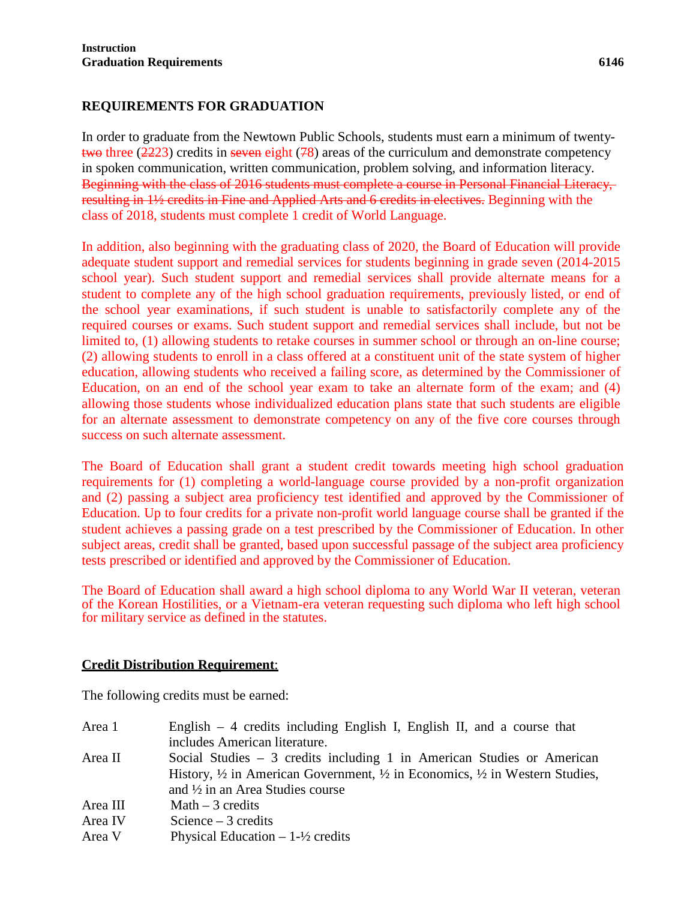## **REQUIREMENTS FOR GRADUATION**

In order to graduate from the Newtown Public Schools, students must earn a minimum of twentytwo three  $(2223)$  credits in seven eight (78) areas of the curriculum and demonstrate competency in spoken communication, written communication, problem solving, and information literacy. Beginning with the class of 2016 students must complete a course in Personal Financial Literacy, resulting in 1½ credits in Fine and Applied Arts and 6 credits in electives. Beginning with the class of 2018, students must complete 1 credit of World Language.

In addition, also beginning with the graduating class of 2020, the Board of Education will provide adequate student support and remedial services for students beginning in grade seven (2014-2015 school year). Such student support and remedial services shall provide alternate means for a student to complete any of the high school graduation requirements, previously listed, or end of the school year examinations, if such student is unable to satisfactorily complete any of the required courses or exams. Such student support and remedial services shall include, but not be limited to, (1) allowing students to retake courses in summer school or through an on-line course; (2) allowing students to enroll in a class offered at a constituent unit of the state system of higher education, allowing students who received a failing score, as determined by the Commissioner of Education, on an end of the school year exam to take an alternate form of the exam; and (4) allowing those students whose individualized education plans state that such students are eligible for an alternate assessment to demonstrate competency on any of the five core courses through success on such alternate assessment.

The Board of Education shall grant a student credit towards meeting high school graduation requirements for (1) completing a world-language course provided by a non-profit organization and (2) passing a subject area proficiency test identified and approved by the Commissioner of Education. Up to four credits for a private non-profit world language course shall be granted if the student achieves a passing grade on a test prescribed by the Commissioner of Education. In other subject areas, credit shall be granted, based upon successful passage of the subject area proficiency tests prescribed or identified and approved by the Commissioner of Education.

The Board of Education shall award a high school diploma to any World War II veteran, veteran of the Korean Hostilities, or a Vietnam-era veteran requesting such diploma who left high school for military service as defined in the statutes.

## **Credit Distribution Requirement**:

The following credits must be earned:

| Area 1   | English $-4$ credits including English I, English II, and a course that                                      |
|----------|--------------------------------------------------------------------------------------------------------------|
|          | includes American literature.                                                                                |
| Area II  | Social Studies $-3$ credits including 1 in American Studies or American                                      |
|          | History, $\frac{1}{2}$ in American Government, $\frac{1}{2}$ in Economics, $\frac{1}{2}$ in Western Studies, |
|          | and $\frac{1}{2}$ in an Area Studies course                                                                  |
| Area III | Math $-3$ credits                                                                                            |
| Area IV  | Science $-3$ credits                                                                                         |
| Area V   | Physical Education $-1-\frac{1}{2}$ credits                                                                  |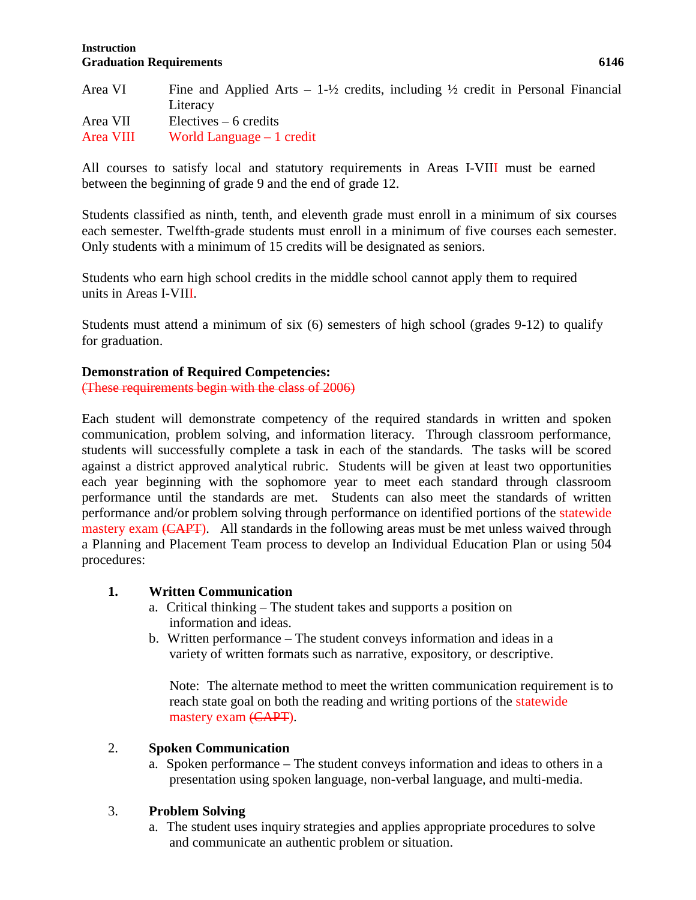#### **Instruction Graduation Requirements 6146**

| Area VI   | Fine and Applied Arts $-1\frac{1}{2}$ credits, including $\frac{1}{2}$ credit in Personal Financial |
|-----------|-----------------------------------------------------------------------------------------------------|
|           | Literacy                                                                                            |
| Area VII  | $Electives - 6$ credits                                                                             |
| Area VIII | World Language $-1$ credit                                                                          |

All courses to satisfy local and statutory requirements in Areas I-VIII must be earned between the beginning of grade 9 and the end of grade 12.

Students classified as ninth, tenth, and eleventh grade must enroll in a minimum of six courses each semester. Twelfth-grade students must enroll in a minimum of five courses each semester. Only students with a minimum of 15 credits will be designated as seniors.

Students who earn high school credits in the middle school cannot apply them to required units in Areas I-VIII.

Students must attend a minimum of six (6) semesters of high school (grades 9-12) to qualify for graduation.

#### **Demonstration of Required Competencies:**

(These requirements begin with the class of 2006)

Each student will demonstrate competency of the required standards in written and spoken communication, problem solving, and information literacy. Through classroom performance, students will successfully complete a task in each of the standards. The tasks will be scored against a district approved analytical rubric. Students will be given at least two opportunities each year beginning with the sophomore year to meet each standard through classroom performance until the standards are met. Students can also meet the standards of written performance and/or problem solving through performance on identified portions of the statewide mastery exam (CAPT). All standards in the following areas must be met unless waived through a Planning and Placement Team process to develop an Individual Education Plan or using 504 procedures:

#### **1. Written Communication**

- a. Critical thinking The student takes and supports a position on information and ideas.
- b. Written performance The student conveys information and ideas in a variety of written formats such as narrative, expository, or descriptive.

Note: The alternate method to meet the written communication requirement is to reach state goal on both the reading and writing portions of the statewide mastery exam (CAPT).

#### 2. **Spoken Communication**

a. Spoken performance – The student conveys information and ideas to others in a presentation using spoken language, non-verbal language, and multi-media.

#### 3. **Problem Solving**

a. The student uses inquiry strategies and applies appropriate procedures to solve and communicate an authentic problem or situation.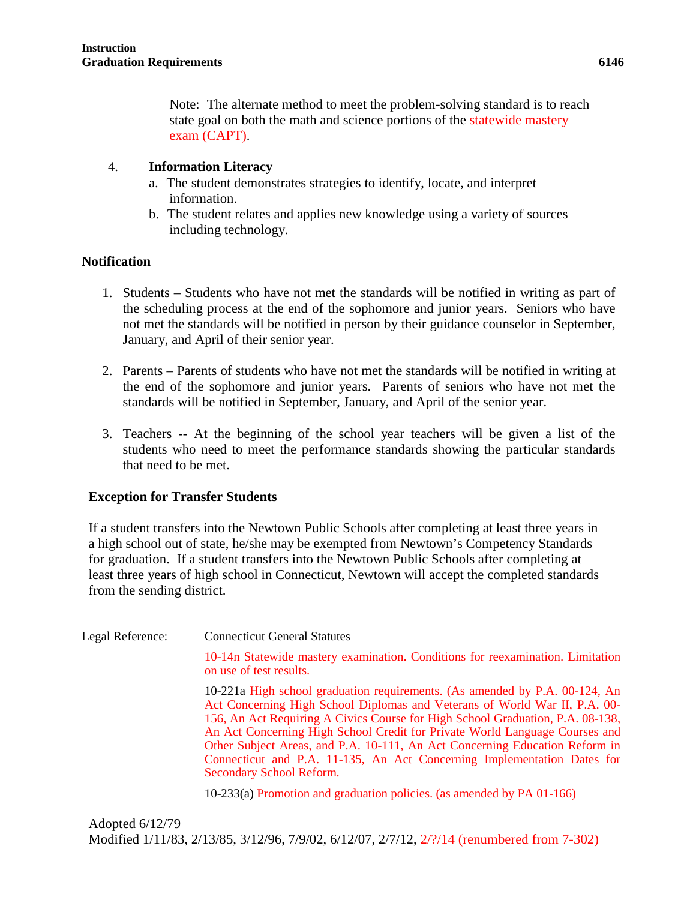Note: The alternate method to meet the problem-solving standard is to reach state goal on both the math and science portions of the statewide mastery exam (CAPT).

## 4. **Information Literacy**

- a. The student demonstrates strategies to identify, locate, and interpret information.
- b. The student relates and applies new knowledge using a variety of sources including technology.

### **Notification**

- 1. Students Students who have not met the standards will be notified in writing as part of the scheduling process at the end of the sophomore and junior years. Seniors who have not met the standards will be notified in person by their guidance counselor in September, January, and April of their senior year.
- 2. Parents Parents of students who have not met the standards will be notified in writing at the end of the sophomore and junior years. Parents of seniors who have not met the standards will be notified in September, January, and April of the senior year.
- 3. Teachers -- At the beginning of the school year teachers will be given a list of the students who need to meet the performance standards showing the particular standards that need to be met.

## **Exception for Transfer Students**

If a student transfers into the Newtown Public Schools after completing at least three years in a high school out of state, he/she may be exempted from Newtown's Competency Standards for graduation. If a student transfers into the Newtown Public Schools after completing at least three years of high school in Connecticut, Newtown will accept the completed standards from the sending district.

| Legal Reference: | <b>Connecticut General Statutes</b>                                                                                                                                                                                                                                                                                                                                                                                                                                                                                                                                                        |
|------------------|--------------------------------------------------------------------------------------------------------------------------------------------------------------------------------------------------------------------------------------------------------------------------------------------------------------------------------------------------------------------------------------------------------------------------------------------------------------------------------------------------------------------------------------------------------------------------------------------|
|                  | 10-14n Statewide mastery examination. Conditions for reexamination. Limitation<br>on use of test results.                                                                                                                                                                                                                                                                                                                                                                                                                                                                                  |
|                  | 10-221a High school graduation requirements. (As amended by P.A. 00-124, An<br>Act Concerning High School Diplomas and Veterans of World War II, P.A. 00-<br>156, An Act Requiring A Civics Course for High School Graduation, P.A. 08-138,<br>An Act Concerning High School Credit for Private World Language Courses and<br>Other Subject Areas, and P.A. 10-111, An Act Concerning Education Reform in<br>Connecticut and P.A. 11-135, An Act Concerning Implementation Dates for<br>Secondary School Reform.<br>10-233(a) Promotion and graduation policies. (as amended by PA 01-166) |